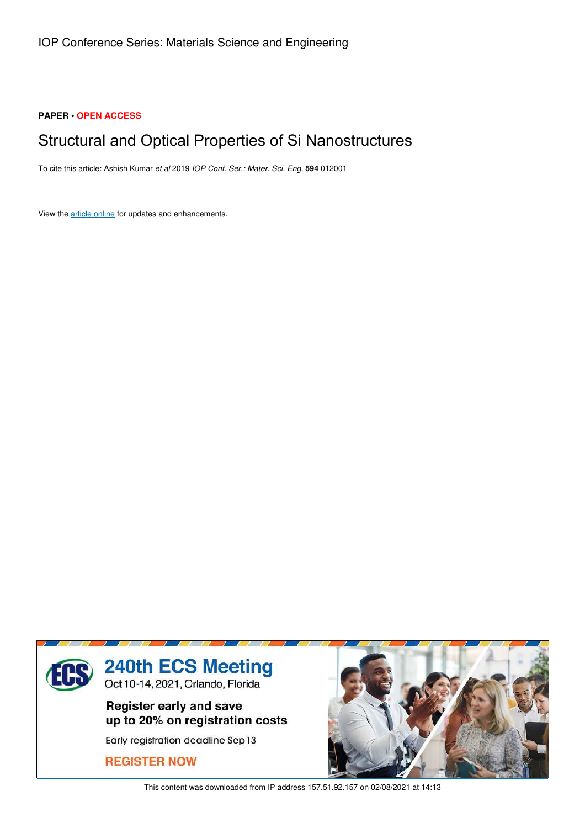# **PAPER • OPEN ACCESS**

# Structural and Optical Properties of Si Nanostructures

To cite this article: Ashish Kumar *et al* 2019 *IOP Conf. Ser.: Mater. Sci. Eng.* **594** 012001

View the article online for updates and enhancements.



This content was downloaded from IP address 157.51.92.157 on 02/08/2021 at 14:13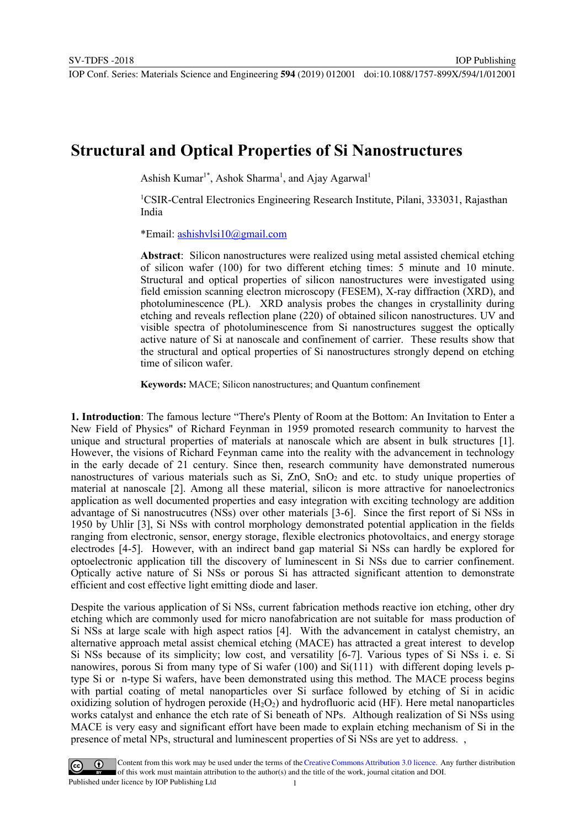# **Structural and Optical Properties of Si Nanostructures**

Ashish Kumar<sup>1\*</sup>, Ashok Sharma<sup>1</sup>, and Ajay Agarwal<sup>1</sup>

<sup>1</sup>CSIR-Central Electronics Engineering Research Institute, Pilani, 333031, Rajasthan India

IOP Publishing

\*Email: ashishvlsi10@gmail.com

**Abstract**: Silicon nanostructures were realized using metal assisted chemical etching of silicon wafer (100) for two different etching times: 5 minute and 10 minute. Structural and optical properties of silicon nanostructures were investigated using field emission scanning electron microscopy (FESEM), X-ray diffraction (XRD), and photoluminescence (PL). XRD analysis probes the changes in crystallinity during etching and reveals reflection plane (220) of obtained silicon nanostructures. UV and visible spectra of photoluminescence from Si nanostructures suggest the optically active nature of Si at nanoscale and confinement of carrier. These results show that the structural and optical properties of Si nanostructures strongly depend on etching time of silicon wafer.

**Keywords:** MACE; Silicon nanostructures; and Quantum confinement

**1. Introduction**: The famous lecture "There's Plenty of Room at the Bottom: An Invitation to Enter a New Field of Physics" of Richard Feynman in 1959 promoted research community to harvest the unique and structural properties of materials at nanoscale which are absent in bulk structures [1]. However, the visions of Richard Feynman came into the reality with the advancement in technology in the early decade of 21 century. Since then, research community have demonstrated numerous nanostructures of various materials such as Si, ZnO, SnO<sub>2</sub> and etc. to study unique properties of material at nanoscale [2]. Among all these material, silicon is more attractive for nanoelectronics application as well documented properties and easy integration with exciting technology are addition advantage of Si nanostrucutres (NSs) over other materials [3-6]. Since the first report of Si NSs in 1950 by Uhlir [3], Si NSs with control morphology demonstrated potential application in the fields ranging from electronic, sensor, energy storage, flexible electronics photovoltaics, and energy storage electrodes [4-5]. However, with an indirect band gap material Si NSs can hardly be explored for optoelectronic application till the discovery of luminescent in Si NSs due to carrier confinement. Optically active nature of Si NSs or porous Si has attracted significant attention to demonstrate efficient and cost effective light emitting diode and laser.

Despite the various application of Si NSs, current fabrication methods reactive ion etching, other dry etching which are commonly used for micro nanofabrication are not suitable for mass production of Si NSs at large scale with high aspect ratios [4]. With the advancement in catalyst chemistry, an alternative approach metal assist chemical etching (MACE) has attracted a great interest to develop Si NSs because of its simplicity; low cost, and versatility [6-7]. Various types of Si NSs i. e. Si nanowires, porous Si from many type of Si wafer (100) and Si(111) with different doping levels ptype Si or n-type Si wafers, have been demonstrated using this method. The MACE process begins with partial coating of metal nanoparticles over Si surface followed by etching of Si in acidic oxidizing solution of hydrogen peroxide  $(H_2O_2)$  and hydrofluoric acid (HF). Here metal nanoparticles works catalyst and enhance the etch rate of Si beneath of NPs. Although realization of Si NSs using MACE is very easy and significant effort have been made to explain etching mechanism of Si in the presence of metal NPs, structural and luminescent properties of Si NSs are yet to address. ,

Content from this work may be used under the terms of the Creative Commons Attribution 3.0 licence. Any further distribution of this work must maintain attribution to the author(s) and the title of the work, journal citation and DOI. Published under licence by IOP Publishing Ltd 1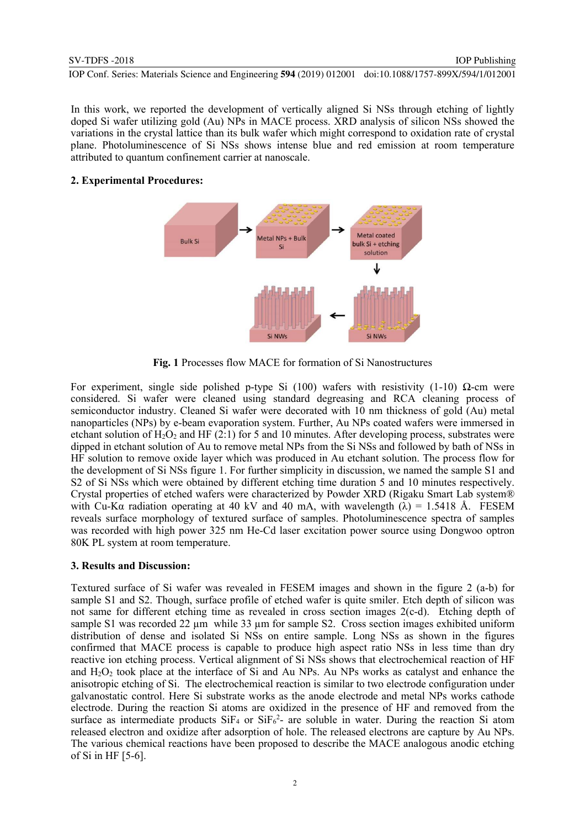In this work, we reported the development of vertically aligned Si NSs through etching of lightly doped Si wafer utilizing gold (Au) NPs in MACE process. XRD analysis of silicon NSs showed the variations in the crystal lattice than its bulk wafer which might correspond to oxidation rate of crystal plane. Photoluminescence of Si NSs shows intense blue and red emission at room temperature attributed to quantum confinement carrier at nanoscale.

### **2. Experimental Procedures:**



**Fig. 1** Processes flow MACE for formation of Si Nanostructures

For experiment, single side polished p-type Si (100) wafers with resistivity (1-10)  $\Omega$ -cm were considered. Si wafer were cleaned using standard degreasing and RCA cleaning process of semiconductor industry. Cleaned Si wafer were decorated with 10 nm thickness of gold (Au) metal nanoparticles (NPs) by e-beam evaporation system. Further, Au NPs coated wafers were immersed in etchant solution of  $H_2O_2$  and HF (2:1) for 5 and 10 minutes. After developing process, substrates were dipped in etchant solution of Au to remove metal NPs from the Si NSs and followed by bath of NSs in HF solution to remove oxide layer which was produced in Au etchant solution. The process flow for the development of Si NSs figure 1. For further simplicity in discussion, we named the sample S1 and S2 of Si NSs which were obtained by different etching time duration 5 and 10 minutes respectively. Crystal properties of etched wafers were characterized by Powder XRD (Rigaku Smart Lab system® with Cu-Kα radiation operating at 40 kV and 40 mA, with wavelength  $(\lambda) = 1.5418$  Å. FESEM reveals surface morphology of textured surface of samples. Photoluminescence spectra of samples was recorded with high power 325 nm He-Cd laser excitation power source using Dongwoo optron 80K PL system at room temperature.

#### **3. Results and Discussion:**

Textured surface of Si wafer was revealed in FESEM images and shown in the figure 2 (a-b) for sample S1 and S2. Though, surface profile of etched wafer is quite smiler. Etch depth of silicon was not same for different etching time as revealed in cross section images 2(c-d). Etching depth of sample S1 was recorded 22  $\mu$ m while 33  $\mu$ m for sample S2. Cross section images exhibited uniform distribution of dense and isolated Si NSs on entire sample. Long NSs as shown in the figures confirmed that MACE process is capable to produce high aspect ratio NSs in less time than dry reactive ion etching process. Vertical alignment of Si NSs shows that electrochemical reaction of HF and  $H_2O_2$  took place at the interface of Si and Au NPs. Au NPs works as catalyst and enhance the anisotropic etching of Si. The electrochemical reaction is similar to two electrode configuration under galvanostatic control. Here Si substrate works as the anode electrode and metal NPs works cathode electrode. During the reaction Si atoms are oxidized in the presence of HF and removed from the surface as intermediate products  $SiF_4$  or  $SiF_6^2$ - are soluble in water. During the reaction Si atom released electron and oxidize after adsorption of hole. The released electrons are capture by Au NPs. The various chemical reactions have been proposed to describe the MACE analogous anodic etching of Si in HF [5-6].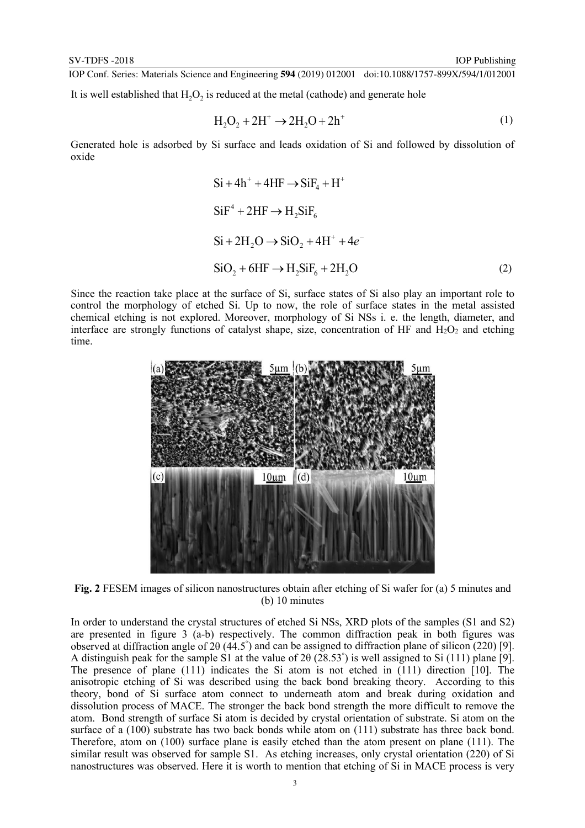It is well established that  $H_2O_2$  is reduced at the metal (cathode) and generate hole

$$
H_2O_2 + 2H^+ \rightarrow 2H_2O + 2h^+ \tag{1}
$$

Generated hole is adsorbed by Si surface and leads oxidation of Si and followed by dissolution of oxide

$$
Si + 4h^{+} + 4HF \rightarrow SiF_{4} + H^{+}
$$
  
\n
$$
SiF^{4} + 2HF \rightarrow H_{2}SiF_{6}
$$
  
\n
$$
Si + 2H_{2}O \rightarrow SiO_{2} + 4H^{+} + 4e^{-}
$$
  
\n
$$
SiO_{2} + 6HF \rightarrow H_{2}SiF_{6} + 2H_{2}O
$$
\n(2)

Since the reaction take place at the surface of Si, surface states of Si also play an important role to control the morphology of etched Si. Up to now, the role of surface states in the metal assisted chemical etching is not explored. Moreover, morphology of Si NSs i. e. the length, diameter, and interface are strongly functions of catalyst shape, size, concentration of HF and  $H_2O_2$  and etching time.



**Fig. 2** FESEM images of silicon nanostructures obtain after etching of Si wafer for (a) 5 minutes and (b) 10 minutes

In order to understand the crystal structures of etched Si NSs, XRD plots of the samples (S1 and S2) are presented in figure 3 (a-b) respectively. The common diffraction peak in both figures was observed at diffraction angle of 2θ (44.5° ) and can be assigned to diffraction plane of silicon (220) [9]. A distinguish peak for the sample S1 at the value of 2θ (28.53° ) is well assigned to Si (111) plane [9]. The presence of plane (111) indicates the Si atom is not etched in (111) direction [10]. The anisotropic etching of Si was described using the back bond breaking theory. According to this theory, bond of Si surface atom connect to underneath atom and break during oxidation and dissolution process of MACE. The stronger the back bond strength the more difficult to remove the atom. Bond strength of surface Si atom is decided by crystal orientation of substrate. Si atom on the surface of a (100) substrate has two back bonds while atom on (111) substrate has three back bond. Therefore, atom on (100) surface plane is easily etched than the atom present on plane (111). The similar result was observed for sample S1. As etching increases, only crystal orientation (220) of Si nanostructures was observed. Here it is worth to mention that etching of Si in MACE process is very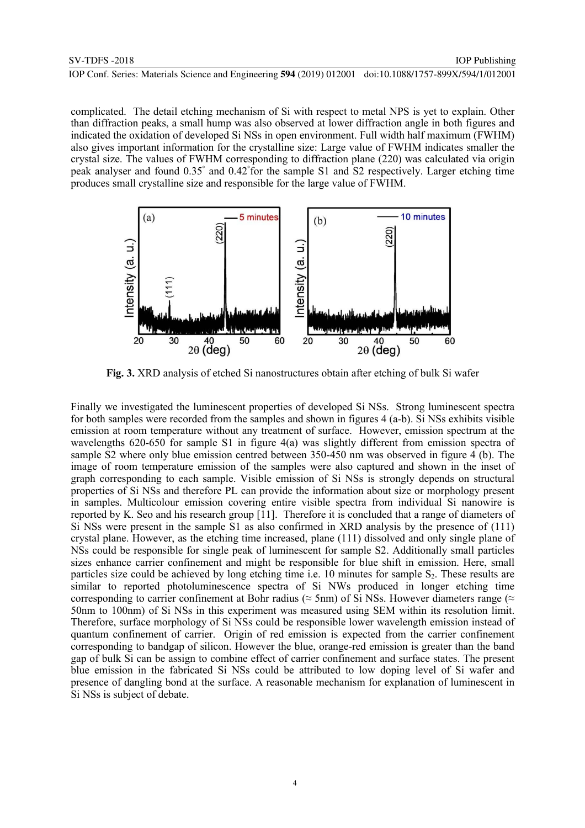complicated. The detail etching mechanism of Si with respect to metal NPS is yet to explain. Other than diffraction peaks, a small hump was also observed at lower diffraction angle in both figures and indicated the oxidation of developed Si NSs in open environment. Full width half maximum (FWHM) also gives important information for the crystalline size: Large value of FWHM indicates smaller the crystal size. The values of FWHM corresponding to diffraction plane (220) was calculated via origin peak analyser and found 0.35° and 0.42° for the sample S1 and S2 respectively. Larger etching time produces small crystalline size and responsible for the large value of FWHM.



**Fig. 3.** XRD analysis of etched Si nanostructures obtain after etching of bulk Si wafer

Finally we investigated the luminescent properties of developed Si NSs. Strong luminescent spectra for both samples were recorded from the samples and shown in figures 4 (a-b). Si NSs exhibits visible emission at room temperature without any treatment of surface. However, emission spectrum at the wavelengths 620-650 for sample S1 in figure 4(a) was slightly different from emission spectra of sample S2 where only blue emission centred between 350-450 nm was observed in figure 4 (b). The image of room temperature emission of the samples were also captured and shown in the inset of graph corresponding to each sample. Visible emission of Si NSs is strongly depends on structural properties of Si NSs and therefore PL can provide the information about size or morphology present in samples. Multicolour emission covering entire visible spectra from individual Si nanowire is reported by K. Seo and his research group [11]. Therefore it is concluded that a range of diameters of Si NSs were present in the sample S1 as also confirmed in XRD analysis by the presence of (111) crystal plane. However, as the etching time increased, plane (111) dissolved and only single plane of NSs could be responsible for single peak of luminescent for sample S2. Additionally small particles sizes enhance carrier confinement and might be responsible for blue shift in emission. Here, small particles size could be achieved by long etching time i.e. 10 minutes for sample  $S_2$ . These results are similar to reported photoluminescence spectra of Si NWs produced in longer etching time corresponding to carrier confinement at Bohr radius ( $\approx$  5nm) of Si NSs. However diameters range ( $\approx$ 50nm to 100nm) of Si NSs in this experiment was measured using SEM within its resolution limit. Therefore, surface morphology of Si NSs could be responsible lower wavelength emission instead of quantum confinement of carrier. Origin of red emission is expected from the carrier confinement corresponding to bandgap of silicon. However the blue, orange-red emission is greater than the band gap of bulk Si can be assign to combine effect of carrier confinement and surface states. The present blue emission in the fabricated Si NSs could be attributed to low doping level of Si wafer and presence of dangling bond at the surface. A reasonable mechanism for explanation of luminescent in Si NSs is subject of debate.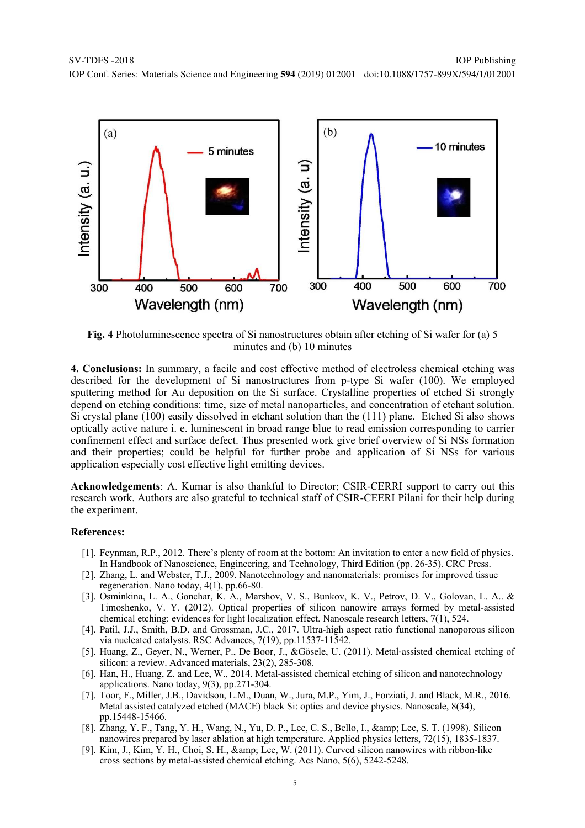

**Fig. 4** Photoluminescence spectra of Si nanostructures obtain after etching of Si wafer for (a) 5 minutes and (b) 10 minutes

**4. Conclusions:** In summary, a facile and cost effective method of electroless chemical etching was described for the development of Si nanostructures from p-type Si wafer (100). We employed sputtering method for Au deposition on the Si surface. Crystalline properties of etched Si strongly depend on etching conditions: time, size of metal nanoparticles, and concentration of etchant solution. Si crystal plane (100) easily dissolved in etchant solution than the (111) plane. Etched Si also shows optically active nature i. e. luminescent in broad range blue to read emission corresponding to carrier confinement effect and surface defect. Thus presented work give brief overview of Si NSs formation and their properties; could be helpful for further probe and application of Si NSs for various application especially cost effective light emitting devices.

**Acknowledgements**: A. Kumar is also thankful to Director; CSIR-CERRI support to carry out this research work. Authors are also grateful to technical staff of CSIR-CEERI Pilani for their help during the experiment.

#### **References:**

- [1]. Feynman, R.P., 2012. There's plenty of room at the bottom: An invitation to enter a new field of physics. In Handbook of Nanoscience, Engineering, and Technology, Third Edition (pp. 26-35). CRC Press.
- [2]. Zhang, L. and Webster, T.J., 2009. Nanotechnology and nanomaterials: promises for improved tissue regeneration. Nano today, 4(1), pp.66-80.
- [3]. Osminkina, L. A., Gonchar, K. A., Marshov, V. S., Bunkov, K. V., Petrov, D. V., Golovan, L. A.. & Timoshenko, V. Y. (2012). Optical properties of silicon nanowire arrays formed by metal-assisted chemical etching: evidences for light localization effect. Nanoscale research letters, 7(1), 524.
- [4]. Patil, J.J., Smith, B.D. and Grossman, J.C., 2017. Ultra-high aspect ratio functional nanoporous silicon via nucleated catalysts. RSC Advances, 7(19), pp.11537-11542.
- [5]. Huang, Z., Geyer, N., Werner, P., De Boor, J., &Gösele, U. (2011). Metal-assisted chemical etching of silicon: a review. Advanced materials, 23(2), 285-308.
- [6]. Han, H., Huang, Z. and Lee, W., 2014. Metal-assisted chemical etching of silicon and nanotechnology applications. Nano today, 9(3), pp.271-304.
- [7]. Toor, F., Miller, J.B., Davidson, L.M., Duan, W., Jura, M.P., Yim, J., Forziati, J. and Black, M.R., 2016. Metal assisted catalyzed etched (MACE) black Si: optics and device physics. Nanoscale, 8(34), pp.15448-15466.
- [8]. Zhang, Y. F., Tang, Y. H., Wang, N., Yu, D. P., Lee, C. S., Bello, I., & amp; Lee, S. T. (1998). Silicon nanowires prepared by laser ablation at high temperature. Applied physics letters, 72(15), 1835-1837.
- [9]. Kim, J., Kim, Y. H., Choi, S. H., & amp; Lee, W. (2011). Curved silicon nanowires with ribbon-like cross sections by metal-assisted chemical etching. Acs Nano, 5(6), 5242-5248.